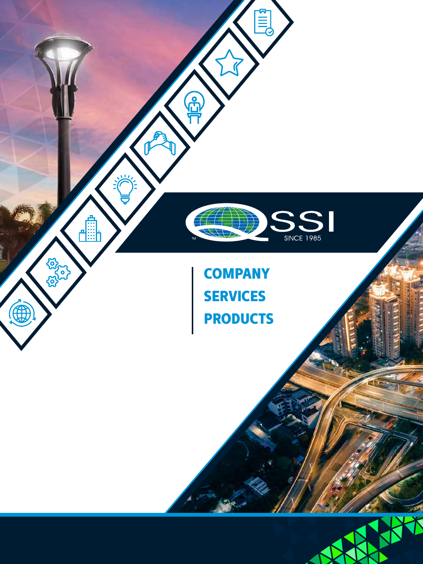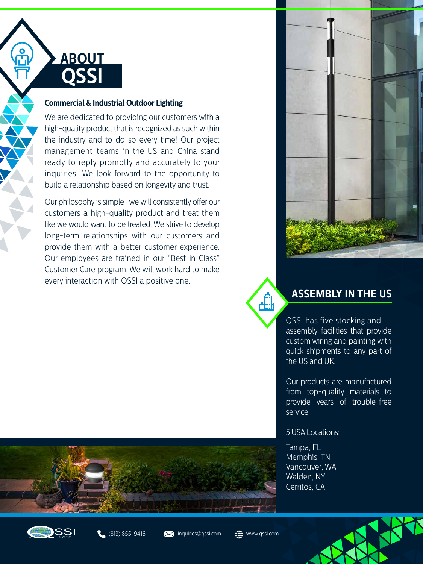

#### **[Commercial & Industrial Outdoor Lighting](https://www.qssi.com/company-information/)**

We are dedicated to providing our customers with a high-quality product that is recognized as such within the industry and to do so every time! Our project management teams in the US and China stand ready to reply promptly and accurately to your inquiries. We look forward to the opportunity to build a relationship based on longevity and trust.

Our philosophy is simple–we will consistently offer our customers a high-quality product and treat them like we would want to be treated. We strive to develop long-term relationships with our customers and provide them with a better customer experience. Our employees are trained in our "Best in Class" Customer Care program. We will work hard to make every interaction with QSSI a positive one.



dh

### **[ASSEMBLY IN THE US](https://www.qssi.com/no-stock-and-flow-program/)**

QSSI has five stocking and assembly facilities that provide custom wiring and painting with quick shipments to any part of the US and UK.

Our products are manufactured from top-quality materials to provide years of trouble-free service.

#### 5 USA Locations:

Tampa, FL Memphis, TN Vancouver, WA Walden, NY Cerritos, CA









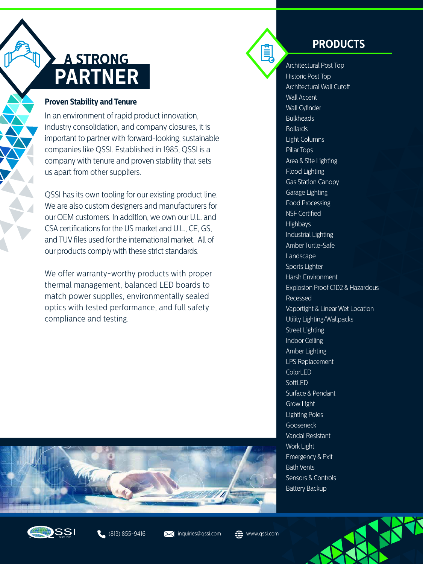# **A STRONG PARTNER**

#### **Proven Stability and Tenure**

In an environment of rapid product innovation, industry consolidation, and company closures, it is important to partner with forward-looking, sustainable companies like QSSI. Established in 1985, QSSI is a company with tenure and proven stability that sets us apart from other suppliers.

QSSI has its own tooling for our existing product line. We are also custom designers and manufacturers for our OEM customers. In addition, we own our U.L. and CSA certifications for the US market and U.L., CE, GS, and TUV files used for the international market. All of our products comply with these strict standards.

We offer warranty-worthy products with proper thermal management, balanced LED boards to match power supplies, environmentally sealed optics with tested performance, and full safety compliance and testing.



Ě

## **PRODUCTS**

Architectural Post Top Historic Post Top Architectural Wall Cutoff Wall Accent Wall Cylinder Bulkheads **Bollards** Light Columns Pillar Tops Area & Site Lighting Flood Lighting Gas Station Canopy Garage Lighting Food Processing NSF Certified Highbays Industrial Lighting Amber Turtle-Safe **Landscape** Sports Lighter Harsh Environment Explosion Proof C1D2 & Hazardous Recessed Vaportight & Linear Wet Location Utility Lighting/Wallpacks Street Lighting Indoor Ceiling Amber Lighting LPS Replacement ColorLED **SoftLED** Surface & Pendant Grow Light Lighting Poles **Gooseneck** Vandal Resistant Work Light Emergency & Exit Bath Vents Sensors & Controls Battery Backup